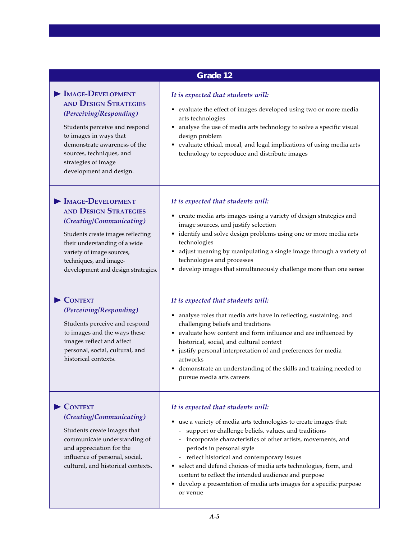| Grade 12                                                                                                                                                                                                                                                                    |                                                                                                                                                                                                                                                                                                                                                                                                                                                                                                                                      |
|-----------------------------------------------------------------------------------------------------------------------------------------------------------------------------------------------------------------------------------------------------------------------------|--------------------------------------------------------------------------------------------------------------------------------------------------------------------------------------------------------------------------------------------------------------------------------------------------------------------------------------------------------------------------------------------------------------------------------------------------------------------------------------------------------------------------------------|
| $\blacktriangleright$ IMAGE-DEVELOPMENT<br><b>AND DESIGN STRATEGIES</b><br>(Perceiving/Responding)<br>Students perceive and respond<br>to images in ways that<br>demonstrate awareness of the<br>sources, techniques, and<br>strategies of image<br>development and design. | It is expected that students will:<br>• evaluate the effect of images developed using two or more media<br>arts technologies<br>• analyse the use of media arts technology to solve a specific visual<br>design problem<br>• evaluate ethical, moral, and legal implications of using media arts<br>technology to reproduce and distribute images                                                                                                                                                                                    |
| MAGE-DEVELOPMENT<br><b>AND DESIGN STRATEGIES</b><br>(Creating/Communicating)<br>Students create images reflecting<br>their understanding of a wide<br>variety of image sources,<br>techniques, and image-<br>development and design strategies.                             | It is expected that students will:<br>• create media arts images using a variety of design strategies and<br>image sources, and justify selection<br>• identify and solve design problems using one or more media arts<br>technologies<br>• adjust meaning by manipulating a single image through a variety of<br>technologies and processes<br>• develop images that simultaneously challenge more than one sense                                                                                                                   |
| $\blacktriangleright$ CONTEXT<br>(Perceiving/Responding)<br>Students perceive and respond<br>to images and the ways these<br>images reflect and affect<br>personal, social, cultural, and<br>historical contexts.                                                           | It is expected that students will:<br>• analyse roles that media arts have in reflecting, sustaining, and<br>challenging beliefs and traditions<br>• evaluate how content and form influence and are influenced by<br>historical, social, and cultural context<br>• justify personal interpretation of and preferences for media<br>artworks<br>• demonstrate an understanding of the skills and training needed to<br>pursue media arts careers                                                                                     |
| CONTEXT<br>(Creating/Communicating)<br>Students create images that<br>communicate understanding of<br>and appreciation for the<br>influence of personal, social,<br>cultural, and historical contexts.                                                                      | It is expected that students will:<br>use a variety of media arts technologies to create images that:<br>٠<br>support or challenge beliefs, values, and traditions<br>incorporate characteristics of other artists, movements, and<br>periods in personal style<br>reflect historical and contemporary issues<br>select and defend choices of media arts technologies, form, and<br>٠<br>content to reflect the intended audience and purpose<br>develop a presentation of media arts images for a specific purpose<br>٠<br>or venue |